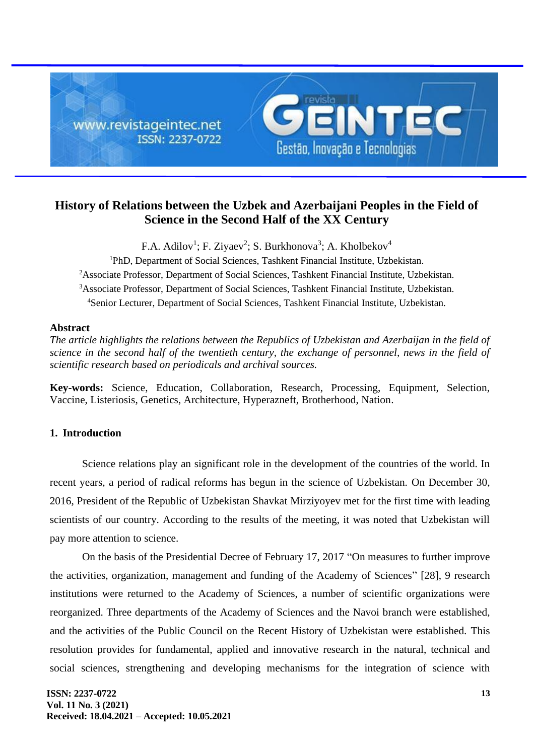

# **History of Relations between the Uzbek and Azerbaijani Peoples in the Field of Science in the Second Half of the XX Century**

F.A. Adilov<sup>1</sup>; F. Ziyaev<sup>2</sup>; S. Burkhonova<sup>3</sup>; A. Kholbekov<sup>4</sup>

PhD, Department of Social Sciences, Tashkent Financial Institute, Uzbekistan. <sup>2</sup>Associate Professor, Department of Social Sciences, Tashkent Financial Institute, Uzbekistan. Associate Professor, Department of Social Sciences, Tashkent Financial Institute, Uzbekistan. Senior Lecturer, Department of Social Sciences, Tashkent Financial Institute, Uzbekistan.

### **Abstract**

*The article highlights the relations between the Republics of Uzbekistan and Azerbaijan in the field of science in the second half of the twentieth century, the exchange of personnel, news in the field of scientific research based on periodicals and archival sources.*

**Key-words:** Science, Education, Collaboration, Research, Processing, Equipment, Selection, Vaccine, Listeriosis, Genetics, Architecture, Hyperazneft, Brotherhood, Nation.

## **1. Introduction**

Science relations play an significant role in the development of the countries of the world. In recent years, a period of radical reforms has begun in the science of Uzbekistan. On December 30, 2016, President of the Republic of Uzbekistan Shavkat Mirziyoyev met for the first time with leading scientists of our country. According to the results of the meeting, it was noted that Uzbekistan will pay more attention to science.

On the basis of the Presidential Decree of February 17, 2017 "On measures to further improve the activities, organization, management and funding of the Academy of Sciences" [28], 9 research institutions were returned to the Academy of Sciences, a number of scientific organizations were reorganized. Three departments of the Academy of Sciences and the Navoi branch were established, and the activities of the Public Council on the Recent History of Uzbekistan were established. This resolution provides for fundamental, applied and innovative research in the natural, technical and social sciences, strengthening and developing mechanisms for the integration of science with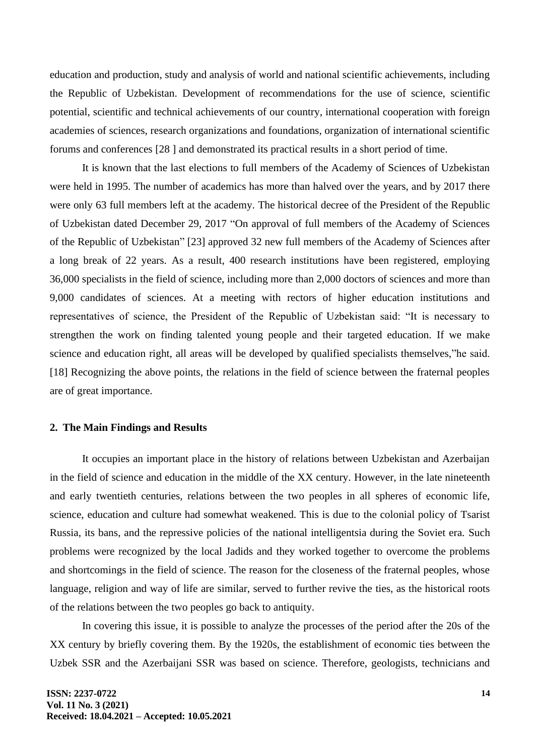education and production, study and analysis of world and national scientific achievements, including the Republic of Uzbekistan. Development of recommendations for the use of science, scientific potential, scientific and technical achievements of our country, international cooperation with foreign academies of sciences, research organizations and foundations, organization of international scientific forums and conferences [28 ] and demonstrated its practical results in a short period of time.

It is known that the last elections to full members of the Academy of Sciences of Uzbekistan were held in 1995. The number of academics has more than halved over the years, and by 2017 there were only 63 full members left at the academy. The historical decree of the President of the Republic of Uzbekistan dated December 29, 2017 "On approval of full members of the Academy of Sciences of the Republic of Uzbekistan" [23] approved 32 new full members of the Academy of Sciences after a long break of 22 years. As a result, 400 research institutions have been registered, employing 36,000 specialists in the field of science, including more than 2,000 doctors of sciences and more than 9,000 candidates of sciences. At a meeting with rectors of higher education institutions and representatives of science, the President of the Republic of Uzbekistan said: "It is necessary to strengthen the work on finding talented young people and their targeted education. If we make science and education right, all areas will be developed by qualified specialists themselves,"he said. [18] Recognizing the above points, the relations in the field of science between the fraternal peoples are of great importance.

#### **2. The Main Findings and Results**

It occupies an important place in the history of relations between Uzbekistan and Azerbaijan in the field of science and education in the middle of the XX century. However, in the late nineteenth and early twentieth centuries, relations between the two peoples in all spheres of economic life, science, education and culture had somewhat weakened. This is due to the colonial policy of Tsarist Russia, its bans, and the repressive policies of the national intelligentsia during the Soviet era. Such problems were recognized by the local Jadids and they worked together to overcome the problems and shortcomings in the field of science. The reason for the closeness of the fraternal peoples, whose language, religion and way of life are similar, served to further revive the ties, as the historical roots of the relations between the two peoples go back to antiquity.

In covering this issue, it is possible to analyze the processes of the period after the 20s of the XX century by briefly covering them. By the 1920s, the establishment of economic ties between the Uzbek SSR and the Azerbaijani SSR was based on science. Therefore, geologists, technicians and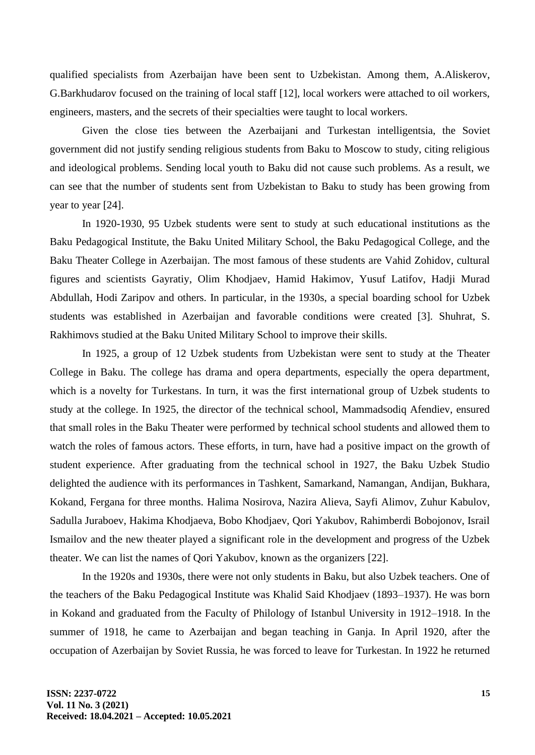qualified specialists from Azerbaijan have been sent to Uzbekistan. Among them, A.Aliskerov, G.Barkhudarov focused on the training of local staff [12], local workers were attached to oil workers, engineers, masters, and the secrets of their specialties were taught to local workers.

Given the close ties between the Azerbaijani and Turkestan intelligentsia, the Soviet government did not justify sending religious students from Baku to Moscow to study, citing religious and ideological problems. Sending local youth to Baku did not cause such problems. As a result, we can see that the number of students sent from Uzbekistan to Baku to study has been growing from year to year [24].

In 1920-1930, 95 Uzbek students were sent to study at such educational institutions as the Baku Pedagogical Institute, the Baku United Military School, the Baku Pedagogical College, and the Baku Theater College in Azerbaijan. The most famous of these students are Vahid Zohidov, cultural figures and scientists Gayratiy, Olim Khodjaev, Hamid Hakimov, Yusuf Latifov, Hadji Murad Abdullah, Hodi Zaripov and others. In particular, in the 1930s, a special boarding school for Uzbek students was established in Azerbaijan and favorable conditions were created [3]. Shuhrat, S. Rakhimovs studied at the Baku United Military School to improve their skills.

In 1925, a group of 12 Uzbek students from Uzbekistan were sent to study at the Theater College in Baku. The college has drama and opera departments, especially the opera department, which is a novelty for Turkestans. In turn, it was the first international group of Uzbek students to study at the college. In 1925, the director of the technical school, Mammadsodiq Afendiev, ensured that small roles in the Baku Theater were performed by technical school students and allowed them to watch the roles of famous actors. These efforts, in turn, have had a positive impact on the growth of student experience. After graduating from the technical school in 1927, the Baku Uzbek Studio delighted the audience with its performances in Tashkent, Samarkand, Namangan, Andijan, Bukhara, Kokand, Fergana for three months. Halima Nosirova, Nazira Alieva, Sayfi Alimov, Zuhur Kabulov, Sadulla Juraboev, Hakima Khodjaeva, Bobo Khodjaev, Qori Yakubov, Rahimberdi Bobojonov, Israil Ismailov and the new theater played a significant role in the development and progress of the Uzbek theater. We can list the names of Qori Yakubov, known as the organizers [22].

In the 1920s and 1930s, there were not only students in Baku, but also Uzbek teachers. One of the teachers of the Baku Pedagogical Institute was Khalid Said Khodjaev (1893–1937). He was born in Kokand and graduated from the Faculty of Philology of Istanbul University in 1912–1918. In the summer of 1918, he came to Azerbaijan and began teaching in Ganja. In April 1920, after the occupation of Azerbaijan by Soviet Russia, he was forced to leave for Turkestan. In 1922 he returned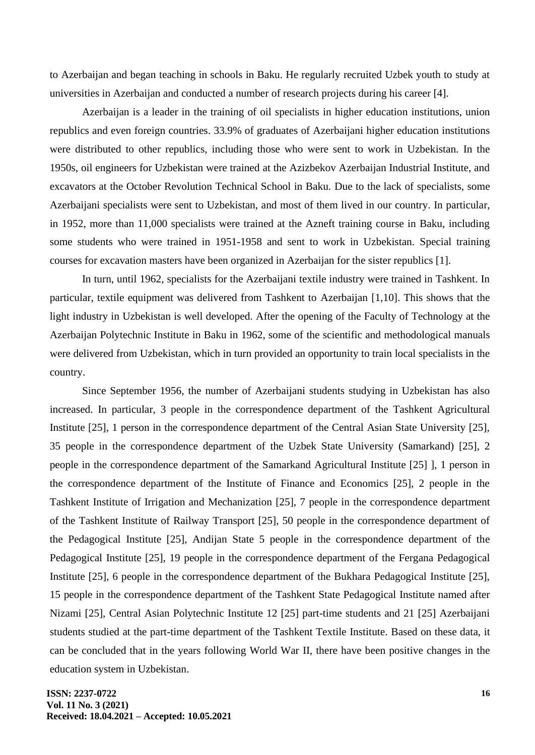to Azerbaijan and began teaching in schools in Baku. He regularly recruited Uzbek youth to study at universities in Azerbaijan and conducted a number of research projects during his career [4].

Azerbaijan is a leader in the training of oil specialists in higher education institutions, union republics and even foreign countries. 33.9% of graduates of Azerbaijani higher education institutions were distributed to other republics, including those who were sent to work in Uzbekistan. In the 1950s, oil engineers for Uzbekistan were trained at the Azizbekov Azerbaijan Industrial Institute, and excavators at the October Revolution Technical School in Baku. Due to the lack of specialists, some Azerbaijani specialists were sent to Uzbekistan, and most of them lived in our country. In particular, in 1952, more than 11,000 specialists were trained at the Azneft training course in Baku, including some students who were trained in 1951-1958 and sent to work in Uzbekistan. Special training courses for excavation masters have been organized in Azerbaijan for the sister republics [1].

In turn, until 1962, specialists for the Azerbaijani textile industry were trained in Tashkent. In particular, textile equipment was delivered from Tashkent to Azerbaijan [1,10]. This shows that the light industry in Uzbekistan is well developed. After the opening of the Faculty of Technology at the Azerbaijan Polytechnic Institute in Baku in 1962, some of the scientific and methodological manuals were delivered from Uzbekistan, which in turn provided an opportunity to train local specialists in the country.

Since September 1956, the number of Azerbaijani students studying in Uzbekistan has also increased. In particular, 3 people in the correspondence department of the Tashkent Agricultural Institute [25], 1 person in the correspondence department of the Central Asian State University [25], 35 people in the correspondence department of the Uzbek State University (Samarkand) [25], 2 people in the correspondence department of the Samarkand Agricultural Institute [25] ], 1 person in the correspondence department of the Institute of Finance and Economics [25], 2 people in the Tashkent Institute of Irrigation and Mechanization [25], 7 people in the correspondence department of the Tashkent Institute of Railway Transport [25], 50 people in the correspondence department of the Pedagogical Institute [25], Andijan State 5 people in the correspondence department of the Pedagogical Institute [25], 19 people in the correspondence department of the Fergana Pedagogical Institute [25], 6 people in the correspondence department of the Bukhara Pedagogical Institute [25], 15 people in the correspondence department of the Tashkent State Pedagogical Institute named after Nizami [25], Central Asian Polytechnic Institute 12 [25] part-time students and 21 [25] Azerbaijani students studied at the part-time department of the Tashkent Textile Institute. Based on these data, it can be concluded that in the years following World War II, there have been positive changes in the education system in Uzbekistan.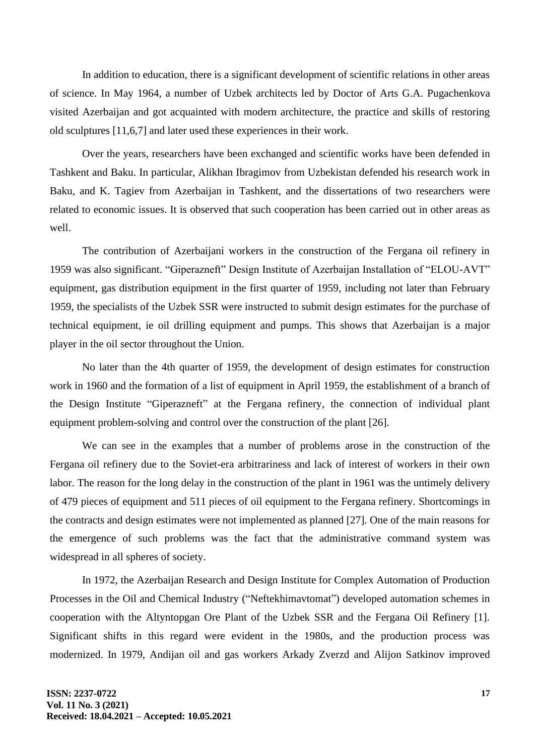In addition to education, there is a significant development of scientific relations in other areas of science. In May 1964, a number of Uzbek architects led by Doctor of Arts G.A. Pugachenkova visited Azerbaijan and got acquainted with modern architecture, the practice and skills of restoring old sculptures [11,6,7] and later used these experiences in their work.

Over the years, researchers have been exchanged and scientific works have been defended in Tashkent and Baku. In particular, Alikhan Ibragimov from Uzbekistan defended his research work in Baku, and K. Tagiev from Azerbaijan in Tashkent, and the dissertations of two researchers were related to economic issues. It is observed that such cooperation has been carried out in other areas as well.

The contribution of Azerbaijani workers in the construction of the Fergana oil refinery in 1959 was also significant. "Giperazneft" Design Institute of Azerbaijan Installation of "ELOU-AVT" equipment, gas distribution equipment in the first quarter of 1959, including not later than February 1959, the specialists of the Uzbek SSR were instructed to submit design estimates for the purchase of technical equipment, ie oil drilling equipment and pumps. This shows that Azerbaijan is a major player in the oil sector throughout the Union.

No later than the 4th quarter of 1959, the development of design estimates for construction work in 1960 and the formation of a list of equipment in April 1959, the establishment of a branch of the Design Institute "Giperazneft" at the Fergana refinery, the connection of individual plant equipment problem-solving and control over the construction of the plant [26].

We can see in the examples that a number of problems arose in the construction of the Fergana oil refinery due to the Soviet-era arbitrariness and lack of interest of workers in their own labor. The reason for the long delay in the construction of the plant in 1961 was the untimely delivery of 479 pieces of equipment and 511 pieces of oil equipment to the Fergana refinery. Shortcomings in the contracts and design estimates were not implemented as planned [27]. One of the main reasons for the emergence of such problems was the fact that the administrative command system was widespread in all spheres of society.

In 1972, the Azerbaijan Research and Design Institute for Complex Automation of Production Processes in the Oil and Chemical Industry ("Neftekhimavtomat") developed automation schemes in cooperation with the Altyntopgan Ore Plant of the Uzbek SSR and the Fergana Oil Refinery [1]. Significant shifts in this regard were evident in the 1980s, and the production process was modernized. In 1979, Andijan oil and gas workers Arkady Zverzd and Alijon Satkinov improved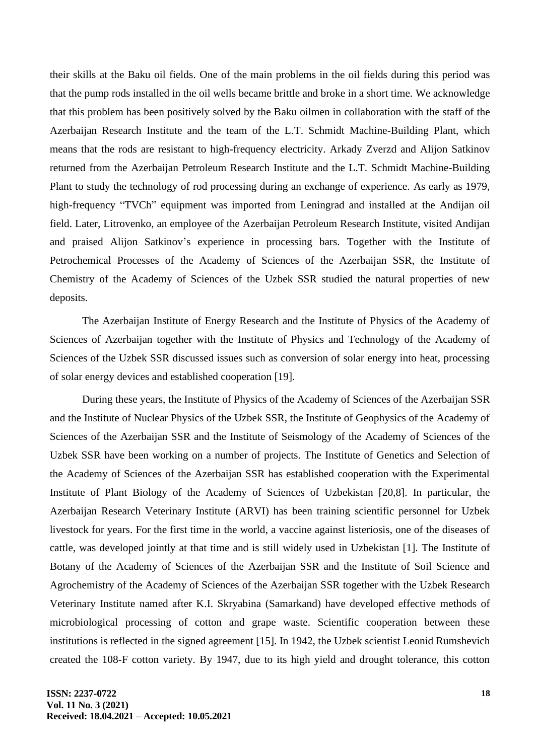their skills at the Baku oil fields. One of the main problems in the oil fields during this period was that the pump rods installed in the oil wells became brittle and broke in a short time. We acknowledge that this problem has been positively solved by the Baku oilmen in collaboration with the staff of the Azerbaijan Research Institute and the team of the L.T. Schmidt Machine-Building Plant, which means that the rods are resistant to high-frequency electricity. Arkady Zverzd and Alijon Satkinov returned from the Azerbaijan Petroleum Research Institute and the L.T. Schmidt Machine-Building Plant to study the technology of rod processing during an exchange of experience. As early as 1979, high-frequency "TVCh" equipment was imported from Leningrad and installed at the Andijan oil field. Later, Litrovenko, an employee of the Azerbaijan Petroleum Research Institute, visited Andijan and praised Alijon Satkinov's experience in processing bars. Together with the Institute of Petrochemical Processes of the Academy of Sciences of the Azerbaijan SSR, the Institute of Chemistry of the Academy of Sciences of the Uzbek SSR studied the natural properties of new deposits.

The Azerbaijan Institute of Energy Research and the Institute of Physics of the Academy of Sciences of Azerbaijan together with the Institute of Physics and Technology of the Academy of Sciences of the Uzbek SSR discussed issues such as conversion of solar energy into heat, processing of solar energy devices and established cooperation [19].

During these years, the Institute of Physics of the Academy of Sciences of the Azerbaijan SSR and the Institute of Nuclear Physics of the Uzbek SSR, the Institute of Geophysics of the Academy of Sciences of the Azerbaijan SSR and the Institute of Seismology of the Academy of Sciences of the Uzbek SSR have been working on a number of projects. The Institute of Genetics and Selection of the Academy of Sciences of the Azerbaijan SSR has established cooperation with the Experimental Institute of Plant Biology of the Academy of Sciences of Uzbekistan [20,8]. In particular, the Azerbaijan Research Veterinary Institute (ARVI) has been training scientific personnel for Uzbek livestock for years. For the first time in the world, a vaccine against listeriosis, one of the diseases of cattle, was developed jointly at that time and is still widely used in Uzbekistan [1]. The Institute of Botany of the Academy of Sciences of the Azerbaijan SSR and the Institute of Soil Science and Agrochemistry of the Academy of Sciences of the Azerbaijan SSR together with the Uzbek Research Veterinary Institute named after K.I. Skryabina (Samarkand) have developed effective methods of microbiological processing of cotton and grape waste. Scientific cooperation between these institutions is reflected in the signed agreement [15]. In 1942, the Uzbek scientist Leonid Rumshevich created the 108-F cotton variety. By 1947, due to its high yield and drought tolerance, this cotton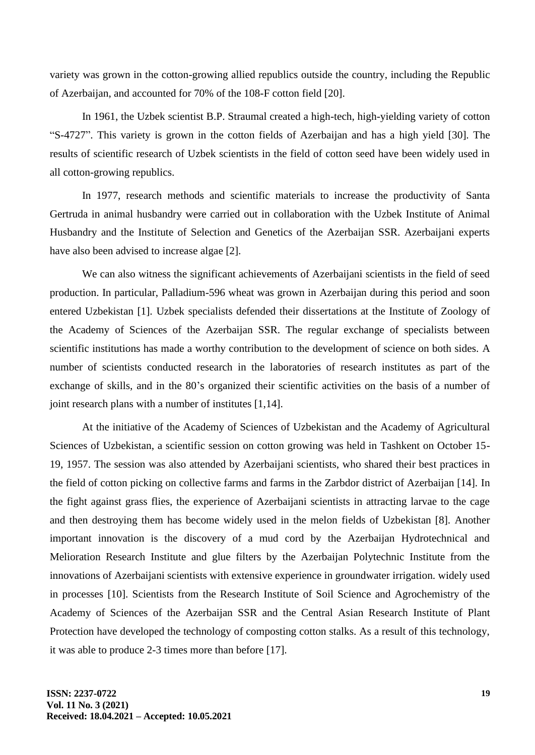variety was grown in the cotton-growing allied republics outside the country, including the Republic of Azerbaijan, and accounted for 70% of the 108-F cotton field [20].

In 1961, the Uzbek scientist B.P. Straumal created a high-tech, high-yielding variety of cotton "S-4727". This variety is grown in the cotton fields of Azerbaijan and has a high yield [30]. The results of scientific research of Uzbek scientists in the field of cotton seed have been widely used in all cotton-growing republics.

In 1977, research methods and scientific materials to increase the productivity of Santa Gertruda in animal husbandry were carried out in collaboration with the Uzbek Institute of Animal Husbandry and the Institute of Selection and Genetics of the Azerbaijan SSR. Azerbaijani experts have also been advised to increase algae [2].

We can also witness the significant achievements of Azerbaijani scientists in the field of seed production. In particular, Palladium-596 wheat was grown in Azerbaijan during this period and soon entered Uzbekistan [1]. Uzbek specialists defended their dissertations at the Institute of Zoology of the Academy of Sciences of the Azerbaijan SSR. The regular exchange of specialists between scientific institutions has made a worthy contribution to the development of science on both sides. A number of scientists conducted research in the laboratories of research institutes as part of the exchange of skills, and in the 80's organized their scientific activities on the basis of a number of joint research plans with a number of institutes [1,14].

At the initiative of the Academy of Sciences of Uzbekistan and the Academy of Agricultural Sciences of Uzbekistan, a scientific session on cotton growing was held in Tashkent on October 15- 19, 1957. The session was also attended by Azerbaijani scientists, who shared their best practices in the field of cotton picking on collective farms and farms in the Zarbdor district of Azerbaijan [14]. In the fight against grass flies, the experience of Azerbaijani scientists in attracting larvae to the cage and then destroying them has become widely used in the melon fields of Uzbekistan [8]. Another important innovation is the discovery of a mud cord by the Azerbaijan Hydrotechnical and Melioration Research Institute and glue filters by the Azerbaijan Polytechnic Institute from the innovations of Azerbaijani scientists with extensive experience in groundwater irrigation. widely used in processes [10]. Scientists from the Research Institute of Soil Science and Agrochemistry of the Academy of Sciences of the Azerbaijan SSR and the Central Asian Research Institute of Plant Protection have developed the technology of composting cotton stalks. As a result of this technology, it was able to produce 2-3 times more than before [17].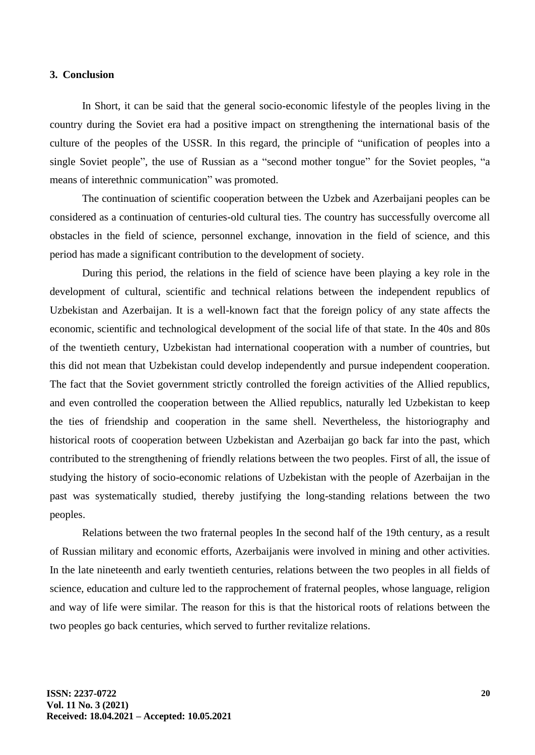#### **3. Conclusion**

In Short, it can be said that the general socio-economic lifestyle of the peoples living in the country during the Soviet era had a positive impact on strengthening the international basis of the culture of the peoples of the USSR. In this regard, the principle of "unification of peoples into a single Soviet people", the use of Russian as a "second mother tongue" for the Soviet peoples, "a means of interethnic communication" was promoted.

The continuation of scientific cooperation between the Uzbek and Azerbaijani peoples can be considered as a continuation of centuries-old cultural ties. The country has successfully overcome all obstacles in the field of science, personnel exchange, innovation in the field of science, and this period has made a significant contribution to the development of society.

During this period, the relations in the field of science have been playing a key role in the development of cultural, scientific and technical relations between the independent republics of Uzbekistan and Azerbaijan. It is a well-known fact that the foreign policy of any state affects the economic, scientific and technological development of the social life of that state. In the 40s and 80s of the twentieth century, Uzbekistan had international cooperation with a number of countries, but this did not mean that Uzbekistan could develop independently and pursue independent cooperation. The fact that the Soviet government strictly controlled the foreign activities of the Allied republics, and even controlled the cooperation between the Allied republics, naturally led Uzbekistan to keep the ties of friendship and cooperation in the same shell. Nevertheless, the historiography and historical roots of cooperation between Uzbekistan and Azerbaijan go back far into the past, which contributed to the strengthening of friendly relations between the two peoples. First of all, the issue of studying the history of socio-economic relations of Uzbekistan with the people of Azerbaijan in the past was systematically studied, thereby justifying the long-standing relations between the two peoples.

Relations between the two fraternal peoples In the second half of the 19th century, as a result of Russian military and economic efforts, Azerbaijanis were involved in mining and other activities. In the late nineteenth and early twentieth centuries, relations between the two peoples in all fields of science, education and culture led to the rapprochement of fraternal peoples, whose language, religion and way of life were similar. The reason for this is that the historical roots of relations between the two peoples go back centuries, which served to further revitalize relations.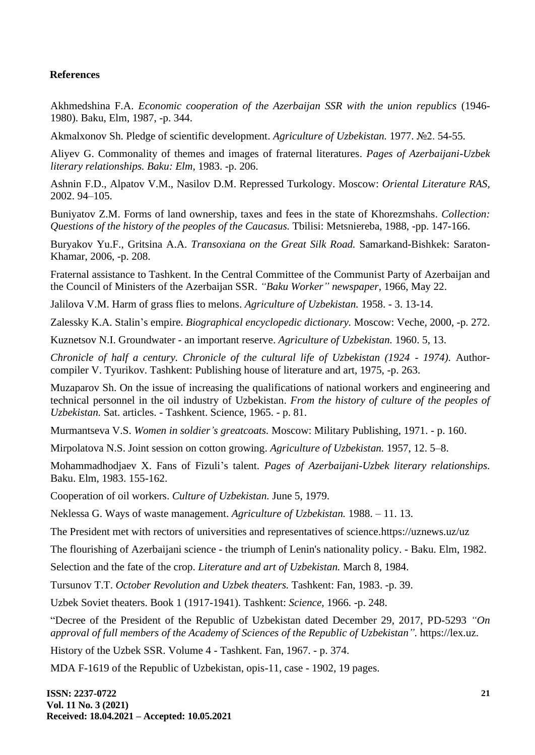#### **References**

Akhmedshina F.A. *Economic cooperation of the Azerbaijan SSR with the union republics* (1946- 1980). Baku, Elm, 1987, -p. 344.

Akmalxonov Sh. Pledge of scientific development. *Agriculture of Uzbekistan.* 1977. №2. 54-55.

Aliyev G. Commonality of themes and images of fraternal literatures. *Pages of Azerbaijani-Uzbek literary relationships. Baku: Elm,* 1983. -p. 206.

Ashnin F.D., Alpatov V.M., Nasilov D.M. Repressed Turkology. Moscow: *Oriental Literature RAS,* 2002. 94–105.

Buniyatov Z.M. Forms of land ownership, taxes and fees in the state of Khorezmshahs. *Collection: Questions of the history of the peoples of the Caucasus.* Tbilisi: Metsniereba, 1988, -pp. 147-166.

Buryakov Yu.F., Gritsina A.A. *Transoxiana on the Great Silk Road.* Samarkand-Bishkek: Saraton-Khamar, 2006, -p. 208.

Fraternal assistance to Tashkent. In the Central Committee of the Communist Party of Azerbaijan and the Council of Ministers of the Azerbaijan SSR. *"Baku Worker" newspaper,* 1966, May 22.

Jalilova V.M. Harm of grass flies to melons. *Agriculture of Uzbekistan.* 1958. - 3. 13-14.

Zalessky K.A. Stalin's empire. *Biographical encyclopedic dictionary.* Moscow: Veche, 2000, -p. 272.

Kuznetsov N.I. Groundwater - an important reserve. *Agriculture of Uzbekistan.* 1960. 5, 13.

*Chronicle of half a century. Chronicle of the cultural life of Uzbekistan (1924 - 1974).* Authorcompiler V. Tyurikov. Tashkent: Publishing house of literature and art, 1975, -p. 263.

Muzaparov Sh. On the issue of increasing the qualifications of national workers and engineering and technical personnel in the oil industry of Uzbekistan. *From the history of culture of the peoples of Uzbekistan.* Sat. articles. - Tashkent. Science, 1965. - p. 81.

Murmantseva V.S. *Women in soldier's greatcoats.* Moscow: Military Publishing, 1971. - p. 160.

Mirpolatova N.S. Joint session on cotton growing. *Agriculture of Uzbekistan.* 1957, 12. 5–8.

Mohammadhodjaev X. Fans of Fizuli's talent. *Pages of Azerbaijani-Uzbek literary relationships.*  Baku. Elm, 1983. 155-162.

Cooperation of oil workers. *Culture of Uzbekistan.* June 5, 1979.

Neklessa G. Ways of waste management. *Agriculture of Uzbekistan.* 1988. – 11. 13.

The President met with rectors of universities and representatives of science.https://uznews.uz/uz

The flourishing of Azerbaijani science - the triumph of Lenin's nationality policy. - Baku. Elm, 1982.

Selection and the fate of the crop. *Literature and art of Uzbekistan.* March 8, 1984.

Tursunov T.T. *October Revolution and Uzbek theaters.* Tashkent: Fan, 1983. -p. 39.

Uzbek Soviet theaters. Book 1 (1917-1941). Tashkent: *Science,* 1966. -p. 248.

"Decree of the President of the Republic of Uzbekistan dated December 29, 2017, PD-5293 *"On approval of full members of the Academy of Sciences of the Republic of Uzbekistan".* https://lex.uz.

History of the Uzbek SSR. Volume 4 - Tashkent. Fan, 1967. - p. 374.

MDA F-1619 of the Republic of Uzbekistan, opis-11, case - 1902, 19 pages.